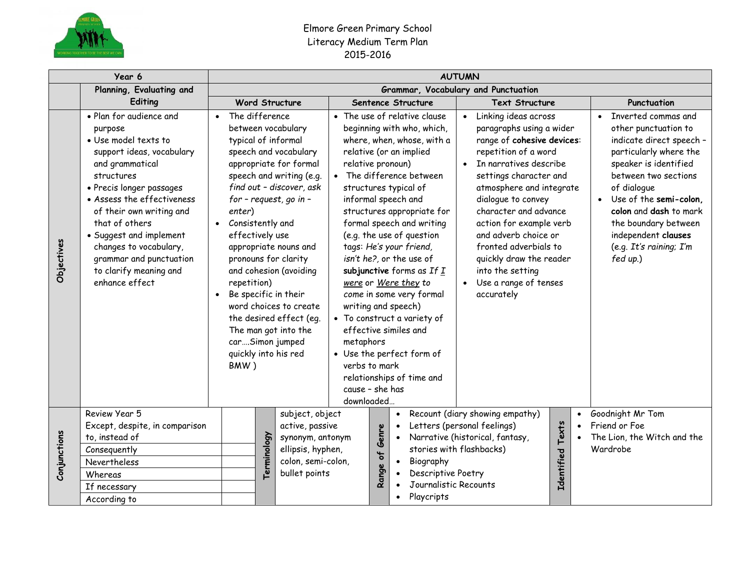

## Elmore Green Primary School Literacy Medium Term Plan 2015-2016

|              | Year 6                                                                                                                                                                                                                                                                                                                                                       | <b>AUTUMN</b>                                                                              |                       |                                                                                                                                                                                                                                                                                                                                                                                                           |                                           |          |                                                                                                                                                                                                                                                                                                                                                                                                                                                                                                                                                                                                                                |                                                                                                   |                                                                                                                                                                                                                                                                                                                                                                                                         |             |           |                                                                                                                                                                                                                                                                                                                                       |
|--------------|--------------------------------------------------------------------------------------------------------------------------------------------------------------------------------------------------------------------------------------------------------------------------------------------------------------------------------------------------------------|--------------------------------------------------------------------------------------------|-----------------------|-----------------------------------------------------------------------------------------------------------------------------------------------------------------------------------------------------------------------------------------------------------------------------------------------------------------------------------------------------------------------------------------------------------|-------------------------------------------|----------|--------------------------------------------------------------------------------------------------------------------------------------------------------------------------------------------------------------------------------------------------------------------------------------------------------------------------------------------------------------------------------------------------------------------------------------------------------------------------------------------------------------------------------------------------------------------------------------------------------------------------------|---------------------------------------------------------------------------------------------------|---------------------------------------------------------------------------------------------------------------------------------------------------------------------------------------------------------------------------------------------------------------------------------------------------------------------------------------------------------------------------------------------------------|-------------|-----------|---------------------------------------------------------------------------------------------------------------------------------------------------------------------------------------------------------------------------------------------------------------------------------------------------------------------------------------|
|              | Planning, Evaluating and                                                                                                                                                                                                                                                                                                                                     | Grammar, Vocabulary and Punctuation                                                        |                       |                                                                                                                                                                                                                                                                                                                                                                                                           |                                           |          |                                                                                                                                                                                                                                                                                                                                                                                                                                                                                                                                                                                                                                |                                                                                                   |                                                                                                                                                                                                                                                                                                                                                                                                         |             |           |                                                                                                                                                                                                                                                                                                                                       |
|              | Editing                                                                                                                                                                                                                                                                                                                                                      |                                                                                            | <b>Word Structure</b> | Sentence Structure                                                                                                                                                                                                                                                                                                                                                                                        |                                           |          |                                                                                                                                                                                                                                                                                                                                                                                                                                                                                                                                                                                                                                | <b>Text Structure</b>                                                                             |                                                                                                                                                                                                                                                                                                                                                                                                         | Punctuation |           |                                                                                                                                                                                                                                                                                                                                       |
| Objectives   | • Plan for audience and<br>purpose<br>· Use model texts to<br>support ideas, vocabulary<br>and grammatical<br>structures<br>• Precis longer passages<br>• Assess the effectiveness<br>of their own writing and<br>that of others<br>• Suggest and implement<br>changes to vocabulary,<br>grammar and punctuation<br>to clarify meaning and<br>enhance effect | • The difference<br>enter)<br>• Consistently and<br>effectively use<br>repetition)<br>BMW) |                       | between vocabulary<br>typical of informal<br>speech and vocabulary<br>appropriate for formal<br>speech and writing (e.g.<br>find out - discover, ask<br>for - request, go in -<br>appropriate nouns and<br>pronouns for clarity<br>and cohesion (avoiding<br>Be specific in their<br>word choices to create<br>the desired effect (eq.<br>The man got into the<br>carSimon jumped<br>quickly into his red | metaphors<br>verbs to mark<br>downloaded. |          | • The use of relative clause<br>beginning with who, which,<br>where, when, whose, with a<br>relative (or an implied<br>relative pronoun)<br>• The difference between<br>structures typical of<br>informal speech and<br>structures appropriate for<br>formal speech and writing<br>(e.g. the use of question<br>tags: He's your friend,<br>isn't he?, or the use of<br>subjunctive forms as If $\underline{I}$<br>were or Were they to<br>come in some very formal<br>writing and speech)<br>• To construct a variety of<br>effective similes and<br>• Use the perfect form of<br>relationships of time and<br>cause - she has |                                                                                                   | Linking ideas across<br>paragraphs using a wider<br>range of cohesive devices:<br>repetition of a word<br>In narratives describe<br>settings character and<br>atmosphere and integrate<br>dialogue to convey<br>character and advance<br>action for example verb<br>and adverb choice or<br>fronted adverbials to<br>quickly draw the reader<br>into the setting<br>Use a range of tenses<br>accurately |             |           | Inverted commas and<br>$\bullet$<br>other punctuation to<br>indicate direct speech -<br>particularly where the<br>speaker is identified<br>between two sections<br>of dialogue<br>Use of the semi-colon,<br>$\bullet$<br>colon and dash to mark<br>the boundary between<br>independent clauses<br>(e.g. It's raining; I'm<br>fed up.) |
| Conjunctions | Review Year 5<br>Except, despite, in comparison<br>to, instead of                                                                                                                                                                                                                                                                                            |                                                                                            |                       | subject, object<br>active, passive<br>synonym, antonym                                                                                                                                                                                                                                                                                                                                                    |                                           | Genre    | $\bullet$<br>$\bullet$<br>$\bullet$                                                                                                                                                                                                                                                                                                                                                                                                                                                                                                                                                                                            | Recount (diary showing empathy)<br>Letters (personal feelings)<br>Narrative (historical, fantasy, |                                                                                                                                                                                                                                                                                                                                                                                                         | Texts       | $\bullet$ | Goodnight Mr Tom<br>Friend or Foe<br>The Lion, the Witch and the                                                                                                                                                                                                                                                                      |
|              | Consequently                                                                                                                                                                                                                                                                                                                                                 |                                                                                            | Terminology           | ellipsis, hyphen,                                                                                                                                                                                                                                                                                                                                                                                         |                                           | Range of |                                                                                                                                                                                                                                                                                                                                                                                                                                                                                                                                                                                                                                |                                                                                                   | stories with flashbacks)<br><b>Identified</b>                                                                                                                                                                                                                                                                                                                                                           |             |           | Wardrobe                                                                                                                                                                                                                                                                                                                              |
|              | <b>Nevertheless</b>                                                                                                                                                                                                                                                                                                                                          |                                                                                            |                       | colon, semi-colon,                                                                                                                                                                                                                                                                                                                                                                                        |                                           |          | Biography<br>$\bullet$                                                                                                                                                                                                                                                                                                                                                                                                                                                                                                                                                                                                         |                                                                                                   |                                                                                                                                                                                                                                                                                                                                                                                                         |             |           |                                                                                                                                                                                                                                                                                                                                       |
|              | Whereas                                                                                                                                                                                                                                                                                                                                                      |                                                                                            |                       | bullet points                                                                                                                                                                                                                                                                                                                                                                                             |                                           |          | Descriptive Poetry                                                                                                                                                                                                                                                                                                                                                                                                                                                                                                                                                                                                             |                                                                                                   |                                                                                                                                                                                                                                                                                                                                                                                                         |             |           |                                                                                                                                                                                                                                                                                                                                       |
|              | If necessary                                                                                                                                                                                                                                                                                                                                                 |                                                                                            |                       |                                                                                                                                                                                                                                                                                                                                                                                                           |                                           |          | Journalistic Recounts                                                                                                                                                                                                                                                                                                                                                                                                                                                                                                                                                                                                          |                                                                                                   |                                                                                                                                                                                                                                                                                                                                                                                                         |             |           |                                                                                                                                                                                                                                                                                                                                       |
|              | According to                                                                                                                                                                                                                                                                                                                                                 |                                                                                            |                       |                                                                                                                                                                                                                                                                                                                                                                                                           |                                           |          | Playcripts                                                                                                                                                                                                                                                                                                                                                                                                                                                                                                                                                                                                                     |                                                                                                   |                                                                                                                                                                                                                                                                                                                                                                                                         |             |           |                                                                                                                                                                                                                                                                                                                                       |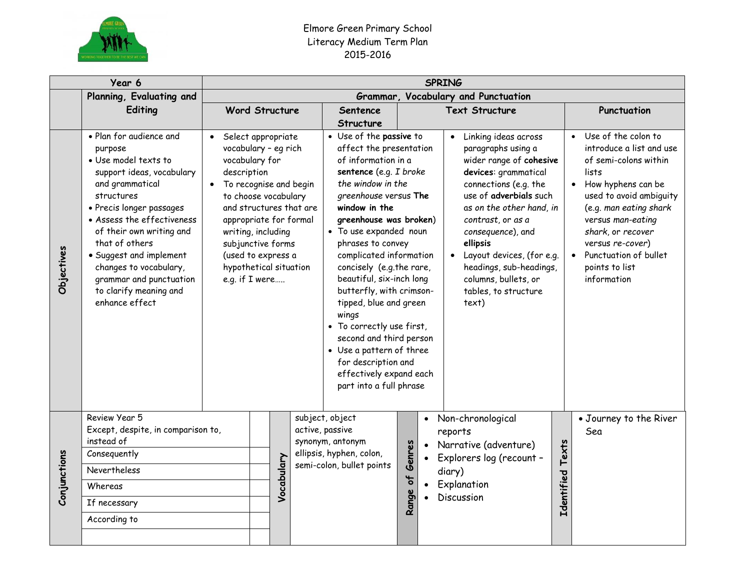

## Elmore Green Primary School Literacy Medium Term Plan 2015-2016

|              | Year 6                                                                                                                                                                                                                                                                                                                                                       | <b>SPRING</b>                              |  |                                                                                                                                                                                                                                                                |                                    |                                                                                                                                                                                                                                                                                                                                                                                                                                                                                                                                                                |          |           |                                                                                                                                                                                                                                                                                                                                                                  |                  |                                                                                                                                                                                                                                                                                                   |  |
|--------------|--------------------------------------------------------------------------------------------------------------------------------------------------------------------------------------------------------------------------------------------------------------------------------------------------------------------------------------------------------------|--------------------------------------------|--|----------------------------------------------------------------------------------------------------------------------------------------------------------------------------------------------------------------------------------------------------------------|------------------------------------|----------------------------------------------------------------------------------------------------------------------------------------------------------------------------------------------------------------------------------------------------------------------------------------------------------------------------------------------------------------------------------------------------------------------------------------------------------------------------------------------------------------------------------------------------------------|----------|-----------|------------------------------------------------------------------------------------------------------------------------------------------------------------------------------------------------------------------------------------------------------------------------------------------------------------------------------------------------------------------|------------------|---------------------------------------------------------------------------------------------------------------------------------------------------------------------------------------------------------------------------------------------------------------------------------------------------|--|
|              | Planning, Evaluating and                                                                                                                                                                                                                                                                                                                                     | Grammar, Vocabulary and Punctuation        |  |                                                                                                                                                                                                                                                                |                                    |                                                                                                                                                                                                                                                                                                                                                                                                                                                                                                                                                                |          |           |                                                                                                                                                                                                                                                                                                                                                                  |                  |                                                                                                                                                                                                                                                                                                   |  |
|              | Editing                                                                                                                                                                                                                                                                                                                                                      |                                            |  | <b>Word Structure</b>                                                                                                                                                                                                                                          |                                    |                                                                                                                                                                                                                                                                                                                                                                                                                                                                                                                                                                |          |           | <b>Text Structure</b>                                                                                                                                                                                                                                                                                                                                            |                  | Punctuation                                                                                                                                                                                                                                                                                       |  |
|              |                                                                                                                                                                                                                                                                                                                                                              |                                            |  |                                                                                                                                                                                                                                                                |                                    | <b>Structure</b>                                                                                                                                                                                                                                                                                                                                                                                                                                                                                                                                               |          |           |                                                                                                                                                                                                                                                                                                                                                                  |                  |                                                                                                                                                                                                                                                                                                   |  |
| Objectives   | · Plan for audience and<br>purpose<br>• Use model texts to<br>support ideas, vocabulary<br>and grammatical<br>structures<br>• Precis longer passages<br>• Assess the effectiveness<br>of their own writing and<br>that of others<br>• Suggest and implement<br>changes to vocabulary,<br>grammar and punctuation<br>to clarify meaning and<br>enhance effect | vocabulary for<br>description<br>$\bullet$ |  | Select appropriate<br>vocabulary - eg rich<br>To recognise and begin<br>to choose vocabulary<br>and structures that are<br>appropriate for formal<br>writing, including<br>subjunctive forms<br>(used to express a<br>hypothetical situation<br>e.g. if I were |                                    | • Use of the passive to<br>affect the presentation<br>of information in a<br>sentence (e.g. I broke<br>the window in the<br>greenhouse versus The<br>window in the<br>greenhouse was broken)<br>· To use expanded noun<br>phrases to convey<br>complicated information<br>concisely (e.g.the rare,<br>beautiful, six-inch long<br>butterfly, with crimson-<br>tipped, blue and green<br>wings<br>• To correctly use first,<br>second and third person<br>• Use a pattern of three<br>for description and<br>effectively expand each<br>part into a full phrase |          |           | Linking ideas across<br>$\bullet$<br>paragraphs using a<br>wider range of cohesive<br>devices: grammatical<br>connections (e.g. the<br>use of adverbials such<br>as on the other hand, in<br>contrast, or as a<br>consequence), and<br>ellipsis<br>Layout devices, (for e.g.<br>headings, sub-headings,<br>columns, bullets, or<br>tables, to structure<br>text) |                  | Use of the colon to<br>introduce a list and use<br>of semi-colons within<br>lists<br>How hyphens can be<br>$\bullet$<br>used to avoid ambiguity<br>(e.g. man eating shark<br>versus man-eating<br>shark, or recover<br>versus re-cover)<br>Punctuation of bullet<br>points to list<br>information |  |
| Conjunctions | Review Year 5<br>Except, despite, in comparison to,                                                                                                                                                                                                                                                                                                          |                                            |  |                                                                                                                                                                                                                                                                | subject, object<br>active, passive |                                                                                                                                                                                                                                                                                                                                                                                                                                                                                                                                                                |          |           | • Non-chronological<br>reports                                                                                                                                                                                                                                                                                                                                   |                  | • Journey to the River<br>Sea                                                                                                                                                                                                                                                                     |  |
|              | instead of<br>Consequently                                                                                                                                                                                                                                                                                                                                   |                                            |  |                                                                                                                                                                                                                                                                |                                    | synonym, antonym<br>ellipsis, hyphen, colon,                                                                                                                                                                                                                                                                                                                                                                                                                                                                                                                   |          |           | Narrative (adventure)                                                                                                                                                                                                                                                                                                                                            |                  |                                                                                                                                                                                                                                                                                                   |  |
|              | Nevertheless                                                                                                                                                                                                                                                                                                                                                 |                                            |  |                                                                                                                                                                                                                                                                |                                    | semi-colon, bullet points                                                                                                                                                                                                                                                                                                                                                                                                                                                                                                                                      | Genres   | $\bullet$ | Explorers log (recount -                                                                                                                                                                                                                                                                                                                                         |                  |                                                                                                                                                                                                                                                                                                   |  |
|              |                                                                                                                                                                                                                                                                                                                                                              |                                            |  | Vocabulary                                                                                                                                                                                                                                                     |                                    |                                                                                                                                                                                                                                                                                                                                                                                                                                                                                                                                                                |          |           | diary)<br>Explanation                                                                                                                                                                                                                                                                                                                                            |                  |                                                                                                                                                                                                                                                                                                   |  |
|              | Whereas                                                                                                                                                                                                                                                                                                                                                      |                                            |  |                                                                                                                                                                                                                                                                |                                    |                                                                                                                                                                                                                                                                                                                                                                                                                                                                                                                                                                | Range of |           | Discussion                                                                                                                                                                                                                                                                                                                                                       | Identified Texts |                                                                                                                                                                                                                                                                                                   |  |
|              | If necessary                                                                                                                                                                                                                                                                                                                                                 |                                            |  |                                                                                                                                                                                                                                                                |                                    |                                                                                                                                                                                                                                                                                                                                                                                                                                                                                                                                                                |          |           |                                                                                                                                                                                                                                                                                                                                                                  |                  |                                                                                                                                                                                                                                                                                                   |  |
|              | According to                                                                                                                                                                                                                                                                                                                                                 |                                            |  |                                                                                                                                                                                                                                                                |                                    |                                                                                                                                                                                                                                                                                                                                                                                                                                                                                                                                                                |          |           |                                                                                                                                                                                                                                                                                                                                                                  |                  |                                                                                                                                                                                                                                                                                                   |  |
|              |                                                                                                                                                                                                                                                                                                                                                              |                                            |  |                                                                                                                                                                                                                                                                |                                    |                                                                                                                                                                                                                                                                                                                                                                                                                                                                                                                                                                |          |           |                                                                                                                                                                                                                                                                                                                                                                  |                  |                                                                                                                                                                                                                                                                                                   |  |